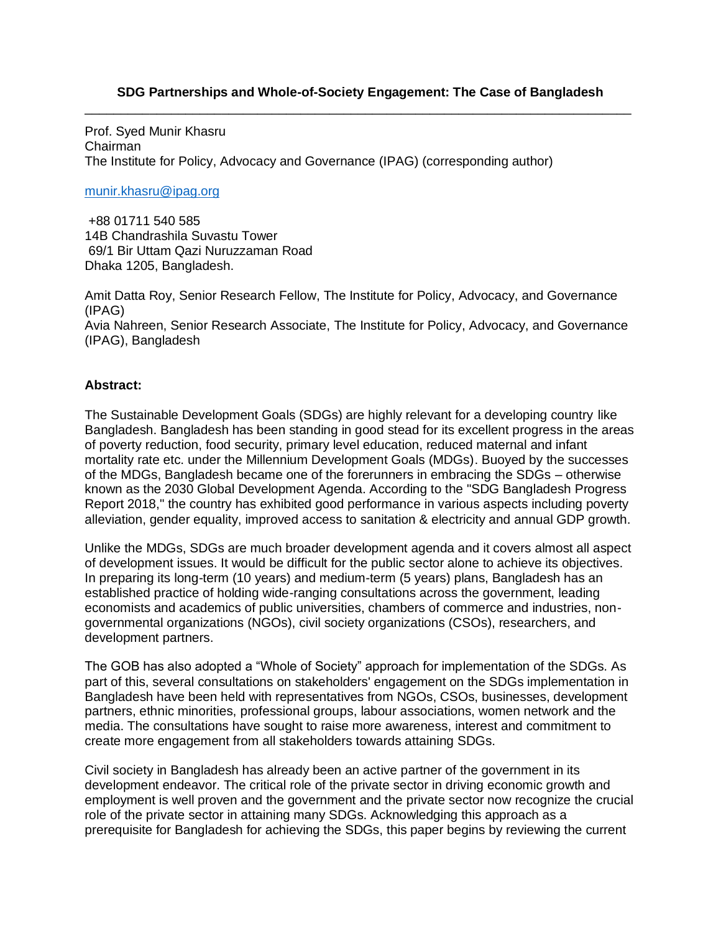#### **SDG Partnerships and Whole-of-Society Engagement: The Case of Bangladesh** \_\_\_\_\_\_\_\_\_\_\_\_\_\_\_\_\_\_\_\_\_\_\_\_\_\_\_\_\_\_\_\_\_\_\_\_\_\_\_\_\_\_\_\_\_\_\_\_\_\_\_\_\_\_\_\_\_\_\_\_\_\_\_\_\_\_\_\_\_\_\_\_\_\_\_\_

Prof. Syed Munir Khasru Chairman The Institute for Policy, Advocacy and Governance (IPAG) (corresponding author)

#### [munir.khasru@ipag.org](mailto:munir.khasru@ipag.org)

+88 01711 540 585 14B Chandrashila Suvastu Tower 69/1 Bir Uttam Qazi Nuruzzaman Road Dhaka 1205, Bangladesh.

Amit Datta Roy, Senior Research Fellow, The Institute for Policy, Advocacy, and Governance (IPAG) Avia Nahreen, Senior Research Associate, The Institute for Policy, Advocacy, and Governance (IPAG), Bangladesh

#### **Abstract:**

The Sustainable Development Goals (SDGs) are highly relevant for a developing country like Bangladesh. Bangladesh has been standing in good stead for its excellent progress in the areas of poverty reduction, food security, primary level education, reduced maternal and infant mortality rate etc. under the Millennium Development Goals (MDGs). Buoyed by the successes of the MDGs, Bangladesh became one of the forerunners in embracing the SDGs – otherwise known as the 2030 Global Development Agenda. According to the "SDG Bangladesh Progress Report 2018," the country has exhibited good performance in various aspects including poverty alleviation, gender equality, improved access to sanitation & electricity and annual GDP growth.

Unlike the MDGs, SDGs are much broader development agenda and it covers almost all aspect of development issues. It would be difficult for the public sector alone to achieve its objectives. In preparing its long-term (10 years) and medium-term (5 years) plans, Bangladesh has an established practice of holding wide-ranging consultations across the government, leading economists and academics of public universities, chambers of commerce and industries, nongovernmental organizations (NGOs), civil society organizations (CSOs), researchers, and development partners.

The GOB has also adopted a "Whole of Society" approach for implementation of the SDGs. As part of this, several consultations on stakeholders' engagement on the SDGs implementation in Bangladesh have been held with representatives from NGOs, CSOs, businesses, development partners, ethnic minorities, professional groups, labour associations, women network and the media. The consultations have sought to raise more awareness, interest and commitment to create more engagement from all stakeholders towards attaining SDGs.

Civil society in Bangladesh has already been an active partner of the government in its development endeavor. The critical role of the private sector in driving economic growth and employment is well proven and the government and the private sector now recognize the crucial role of the private sector in attaining many SDGs. Acknowledging this approach as a prerequisite for Bangladesh for achieving the SDGs, this paper begins by reviewing the current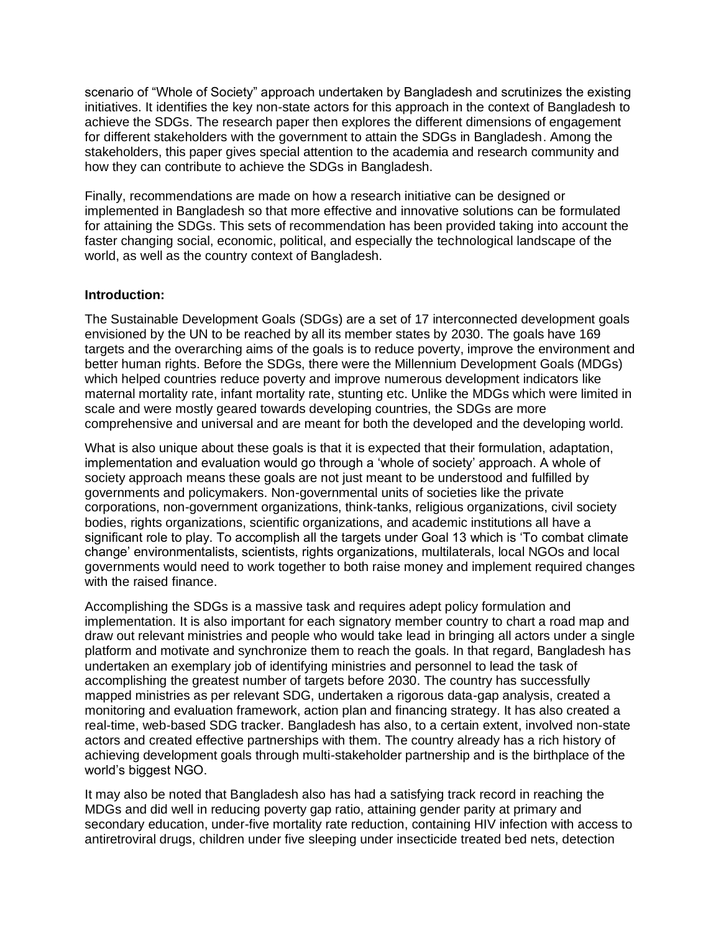scenario of "Whole of Society" approach undertaken by Bangladesh and scrutinizes the existing initiatives. It identifies the key non-state actors for this approach in the context of Bangladesh to achieve the SDGs. The research paper then explores the different dimensions of engagement for different stakeholders with the government to attain the SDGs in Bangladesh. Among the stakeholders, this paper gives special attention to the academia and research community and how they can contribute to achieve the SDGs in Bangladesh.

Finally, recommendations are made on how a research initiative can be designed or implemented in Bangladesh so that more effective and innovative solutions can be formulated for attaining the SDGs. This sets of recommendation has been provided taking into account the faster changing social, economic, political, and especially the technological landscape of the world, as well as the country context of Bangladesh.

#### **Introduction:**

The Sustainable Development Goals (SDGs) are a set of 17 interconnected development goals envisioned by the UN to be reached by all its member states by 2030. The goals have 169 targets and the overarching aims of the goals is to reduce poverty, improve the environment and better human rights. Before the SDGs, there were the Millennium Development Goals (MDGs) which helped countries reduce poverty and improve numerous development indicators like maternal mortality rate, infant mortality rate, stunting etc. Unlike the MDGs which were limited in scale and were mostly geared towards developing countries, the SDGs are more comprehensive and universal and are meant for both the developed and the developing world.

What is also unique about these goals is that it is expected that their formulation, adaptation, implementation and evaluation would go through a 'whole of society' approach. A whole of society approach means these goals are not just meant to be understood and fulfilled by governments and policymakers. Non-governmental units of societies like the private corporations, non-government organizations, think-tanks, religious organizations, civil society bodies, rights organizations, scientific organizations, and academic institutions all have a significant role to play. To accomplish all the targets under Goal 13 which is 'To combat climate change' environmentalists, scientists, rights organizations, multilaterals, local NGOs and local governments would need to work together to both raise money and implement required changes with the raised finance.

Accomplishing the SDGs is a massive task and requires adept policy formulation and implementation. It is also important for each signatory member country to chart a road map and draw out relevant ministries and people who would take lead in bringing all actors under a single platform and motivate and synchronize them to reach the goals. In that regard, Bangladesh has undertaken an exemplary job of identifying ministries and personnel to lead the task of accomplishing the greatest number of targets before 2030. The country has successfully mapped ministries as per relevant SDG, undertaken a rigorous data-gap analysis, created a monitoring and evaluation framework, action plan and financing strategy. It has also created a real-time, web-based SDG tracker. Bangladesh has also, to a certain extent, involved non-state actors and created effective partnerships with them. The country already has a rich history of achieving development goals through multi-stakeholder partnership and is the birthplace of the world's biggest NGO.

It may also be noted that Bangladesh also has had a satisfying track record in reaching the MDGs and did well in reducing poverty gap ratio, attaining gender parity at primary and secondary education, under-five mortality rate reduction, containing HIV infection with access to antiretroviral drugs, children under five sleeping under insecticide treated bed nets, detection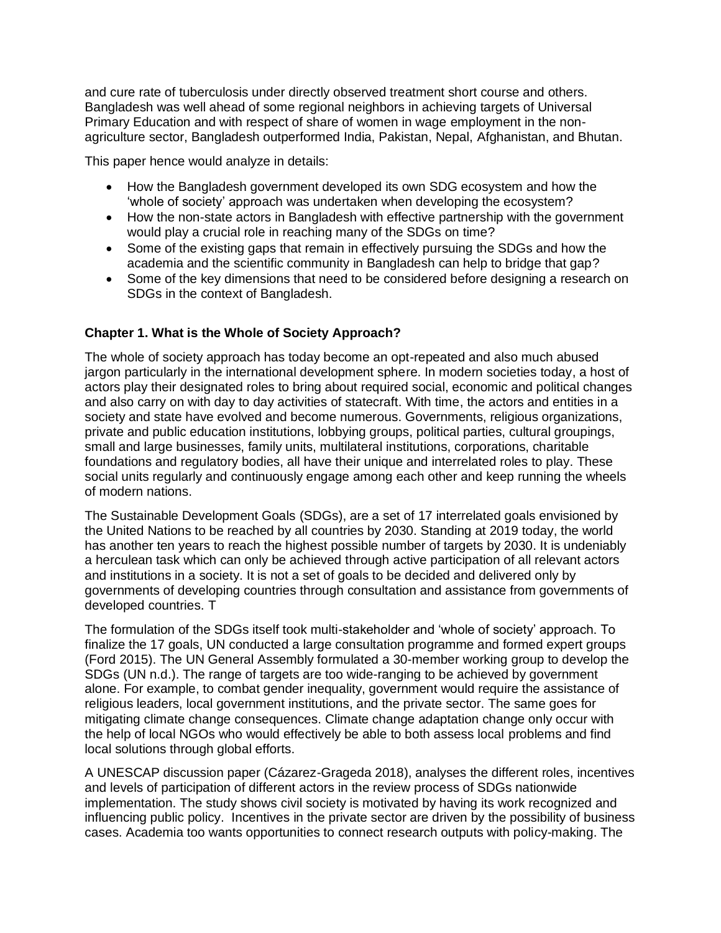and cure rate of tuberculosis under directly observed treatment short course and others. Bangladesh was well ahead of some regional neighbors in achieving targets of Universal Primary Education and with respect of share of women in wage employment in the nonagriculture sector, Bangladesh outperformed India, Pakistan, Nepal, Afghanistan, and Bhutan.

This paper hence would analyze in details:

- How the Bangladesh government developed its own SDG ecosystem and how the 'whole of society' approach was undertaken when developing the ecosystem?
- How the non-state actors in Bangladesh with effective partnership with the government would play a crucial role in reaching many of the SDGs on time?
- Some of the existing gaps that remain in effectively pursuing the SDGs and how the academia and the scientific community in Bangladesh can help to bridge that gap?
- Some of the key dimensions that need to be considered before designing a research on SDGs in the context of Bangladesh.

## **Chapter 1. What is the Whole of Society Approach?**

The whole of society approach has today become an opt-repeated and also much abused jargon particularly in the international development sphere. In modern societies today, a host of actors play their designated roles to bring about required social, economic and political changes and also carry on with day to day activities of statecraft. With time, the actors and entities in a society and state have evolved and become numerous. Governments, religious organizations, private and public education institutions, lobbying groups, political parties, cultural groupings, small and large businesses, family units, multilateral institutions, corporations, charitable foundations and regulatory bodies, all have their unique and interrelated roles to play. These social units regularly and continuously engage among each other and keep running the wheels of modern nations.

The Sustainable Development Goals (SDGs), are a set of 17 interrelated goals envisioned by the United Nations to be reached by all countries by 2030. Standing at 2019 today, the world has another ten years to reach the highest possible number of targets by 2030. It is undeniably a herculean task which can only be achieved through active participation of all relevant actors and institutions in a society. It is not a set of goals to be decided and delivered only by governments of developing countries through consultation and assistance from governments of developed countries. T

The formulation of the SDGs itself took multi-stakeholder and 'whole of society' approach. To finalize the 17 goals, UN conducted a large consultation programme and formed expert groups (Ford 2015). The UN General Assembly formulated a 30-member working group to develop the SDGs (UN n.d.). The range of targets are too wide-ranging to be achieved by government alone. For example, to combat gender inequality, government would require the assistance of religious leaders, local government institutions, and the private sector. The same goes for mitigating climate change consequences. Climate change adaptation change only occur with the help of local NGOs who would effectively be able to both assess local problems and find local solutions through global efforts.

A UNESCAP discussion paper (Cázarez-Grageda 2018), analyses the different roles, incentives and levels of participation of different actors in the review process of SDGs nationwide implementation. The study shows civil society is motivated by having its work recognized and influencing public policy. Incentives in the private sector are driven by the possibility of business cases. Academia too wants opportunities to connect research outputs with policy-making. The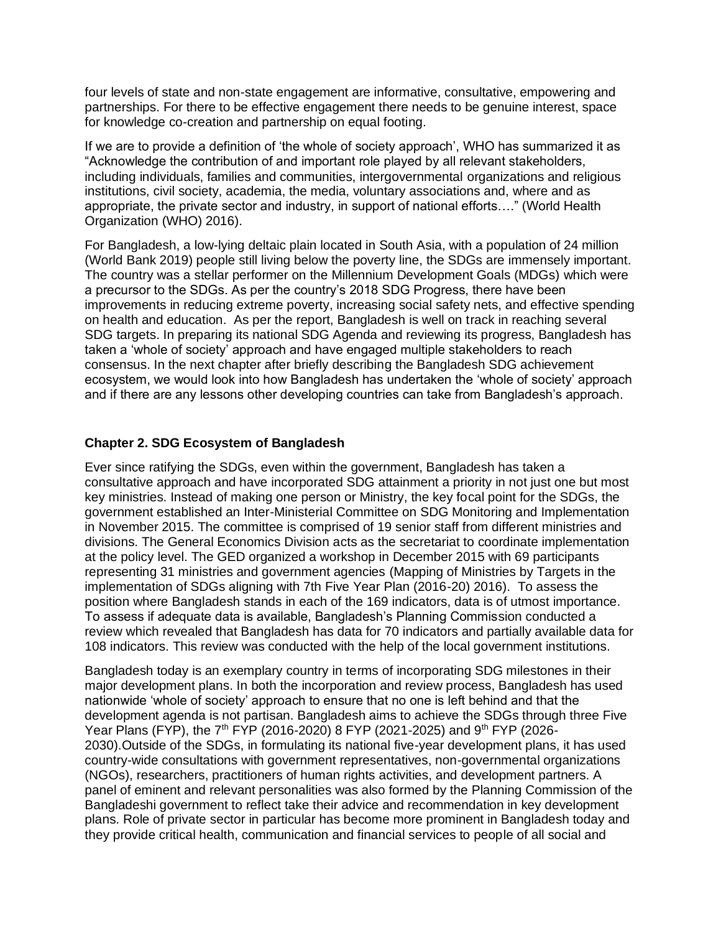four levels of state and non-state engagement are informative, consultative, empowering and partnerships. For there to be effective engagement there needs to be genuine interest, space for knowledge co-creation and partnership on equal footing.

If we are to provide a definition of 'the whole of society approach', WHO has summarized it as "Acknowledge the contribution of and important role played by all relevant stakeholders, including individuals, families and communities, intergovernmental organizations and religious institutions, civil society, academia, the media, voluntary associations and, where and as appropriate, the private sector and industry, in support of national efforts…." (World Health Organization (WHO) 2016).

For Bangladesh, a low-lying deltaic plain located in South Asia, with a population of 24 million (World Bank 2019) people still living below the poverty line, the SDGs are immensely important. The country was a stellar performer on the Millennium Development Goals (MDGs) which were a precursor to the SDGs. As per the country's 2018 SDG Progress, there have been improvements in reducing extreme poverty, increasing social safety nets, and effective spending on health and education. As per the report, Bangladesh is well on track in reaching several SDG targets. In preparing its national SDG Agenda and reviewing its progress, Bangladesh has taken a 'whole of society' approach and have engaged multiple stakeholders to reach consensus. In the next chapter after briefly describing the Bangladesh SDG achievement ecosystem, we would look into how Bangladesh has undertaken the 'whole of society' approach and if there are any lessons other developing countries can take from Bangladesh's approach.

## **Chapter 2. SDG Ecosystem of Bangladesh**

Ever since ratifying the SDGs, even within the government, Bangladesh has taken a consultative approach and have incorporated SDG attainment a priority in not just one but most key ministries. Instead of making one person or Ministry, the key focal point for the SDGs, the government established an Inter-Ministerial Committee on SDG Monitoring and Implementation in November 2015. The committee is comprised of 19 senior staff from different ministries and divisions. The General Economics Division acts as the secretariat to coordinate implementation at the policy level. The GED organized a workshop in December 2015 with 69 participants representing 31 ministries and government agencies (Mapping of Ministries by Targets in the implementation of SDGs aligning with 7th Five Year Plan (2016-20) 2016). To assess the position where Bangladesh stands in each of the 169 indicators, data is of utmost importance. To assess if adequate data is available, Bangladesh's Planning Commission conducted a review which revealed that Bangladesh has data for 70 indicators and partially available data for 108 indicators. This review was conducted with the help of the local government institutions.

Bangladesh today is an exemplary country in terms of incorporating SDG milestones in their major development plans. In both the incorporation and review process, Bangladesh has used nationwide 'whole of society' approach to ensure that no one is left behind and that the development agenda is not partisan. Bangladesh aims to achieve the SDGs through three Five Year Plans (FYP), the 7<sup>th</sup> FYP (2016-2020) 8 FYP (2021-2025) and 9<sup>th</sup> FYP (2026-2030).Outside of the SDGs, in formulating its national five-year development plans, it has used country-wide consultations with government representatives, non-governmental organizations (NGOs), researchers, practitioners of human rights activities, and development partners. A panel of eminent and relevant personalities was also formed by the Planning Commission of the Bangladeshi government to reflect take their advice and recommendation in key development plans. Role of private sector in particular has become more prominent in Bangladesh today and they provide critical health, communication and financial services to people of all social and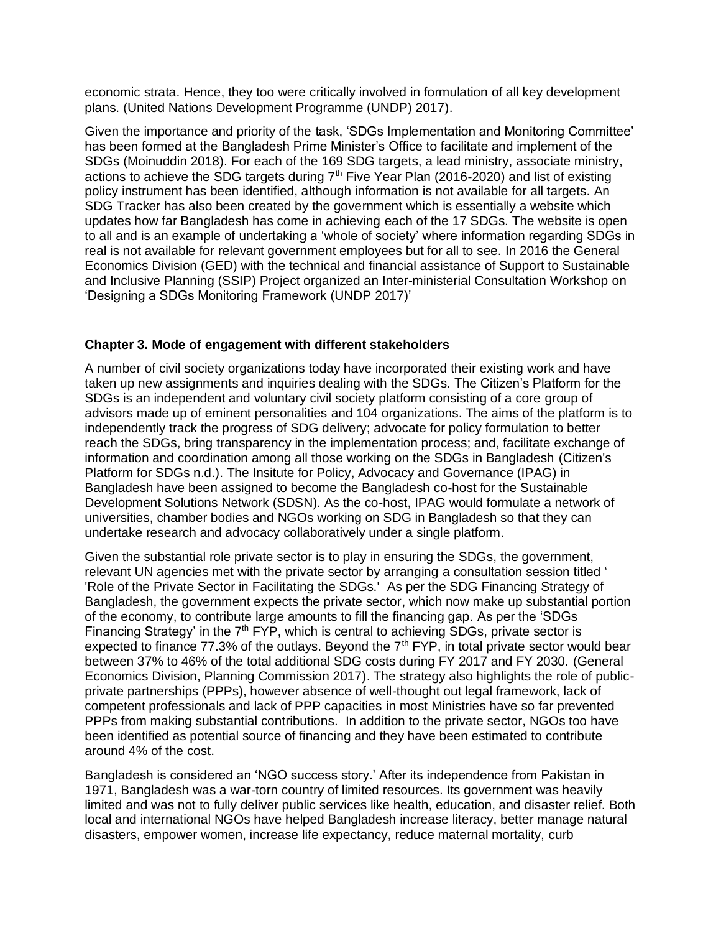economic strata. Hence, they too were critically involved in formulation of all key development plans. (United Nations Development Programme (UNDP) 2017).

Given the importance and priority of the task, 'SDGs Implementation and Monitoring Committee' has been formed at the Bangladesh Prime Minister's Office to facilitate and implement of the SDGs (Moinuddin 2018). For each of the 169 SDG targets, a lead ministry, associate ministry, actions to achieve the SDG targets during  $7<sup>th</sup>$  Five Year Plan (2016-2020) and list of existing policy instrument has been identified, although information is not available for all targets. An SDG Tracker has also been created by the government which is essentially a website which updates how far Bangladesh has come in achieving each of the 17 SDGs. The website is open to all and is an example of undertaking a 'whole of society' where information regarding SDGs in real is not available for relevant government employees but for all to see. In 2016 the General Economics Division (GED) with the technical and financial assistance of Support to Sustainable and Inclusive Planning (SSIP) Project organized an Inter-ministerial Consultation Workshop on 'Designing a SDGs Monitoring Framework (UNDP 2017)'

## **Chapter 3. Mode of engagement with different stakeholders**

A number of civil society organizations today have incorporated their existing work and have taken up new assignments and inquiries dealing with the SDGs. The Citizen's Platform for the SDGs is an independent and voluntary civil society platform consisting of a core group of advisors made up of eminent personalities and 104 organizations. The aims of the platform is to independently track the progress of SDG delivery; advocate for policy formulation to better reach the SDGs, bring transparency in the implementation process; and, facilitate exchange of information and coordination among all those working on the SDGs in Bangladesh (Citizen's Platform for SDGs n.d.). The Insitute for Policy, Advocacy and Governance (IPAG) in Bangladesh have been assigned to become the Bangladesh co-host for the Sustainable Development Solutions Network (SDSN). As the co-host, IPAG would formulate a network of universities, chamber bodies and NGOs working on SDG in Bangladesh so that they can undertake research and advocacy collaboratively under a single platform.

Given the substantial role private sector is to play in ensuring the SDGs, the government, relevant UN agencies met with the private sector by arranging a consultation session titled ' 'Role of the Private Sector in Facilitating the SDGs.' As per the SDG Financing Strategy of Bangladesh, the government expects the private sector, which now make up substantial portion of the economy, to contribute large amounts to fill the financing gap. As per the 'SDGs Financing Strategy' in the  $7<sup>th</sup>$  FYP, which is central to achieving SDGs, private sector is expected to finance 77.3% of the outlays. Beyond the  $7<sup>th</sup> FYP$ , in total private sector would bear between 37% to 46% of the total additional SDG costs during FY 2017 and FY 2030. (General Economics Division, Planning Commission 2017). The strategy also highlights the role of publicprivate partnerships (PPPs), however absence of well-thought out legal framework, lack of competent professionals and lack of PPP capacities in most Ministries have so far prevented PPPs from making substantial contributions. In addition to the private sector, NGOs too have been identified as potential source of financing and they have been estimated to contribute around 4% of the cost.

Bangladesh is considered an 'NGO success story.' After its independence from Pakistan in 1971, Bangladesh was a war-torn country of limited resources. Its government was heavily limited and was not to fully deliver public services like health, education, and disaster relief. Both local and international NGOs have helped Bangladesh increase literacy, better manage natural disasters, empower women, increase life expectancy, reduce maternal mortality, curb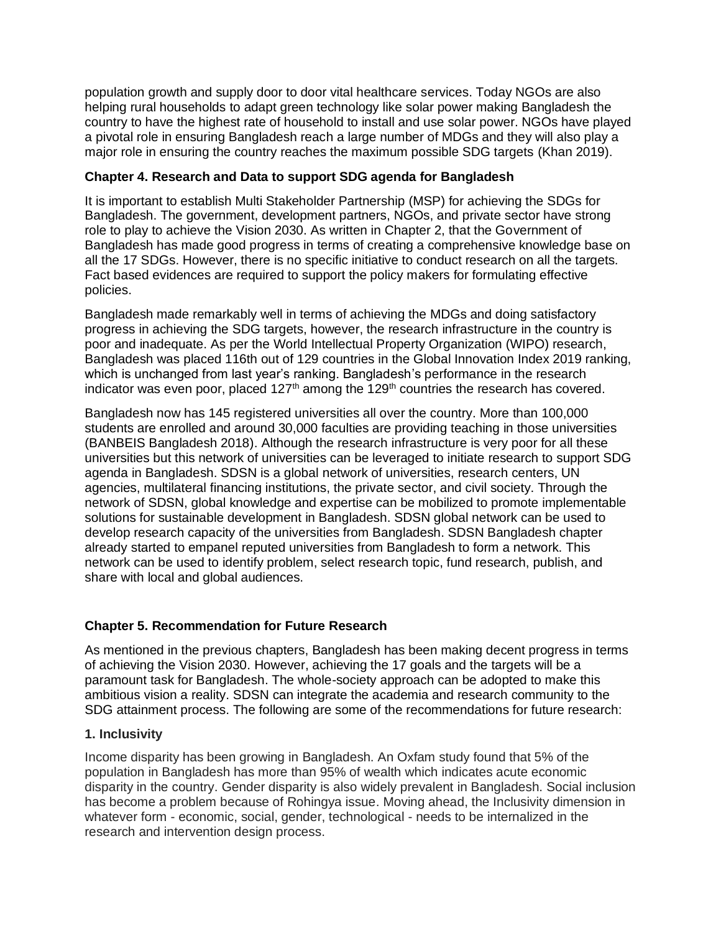population growth and supply door to door vital healthcare services. Today NGOs are also helping rural households to adapt green technology like solar power making Bangladesh the country to have the highest rate of household to install and use solar power. NGOs have played a pivotal role in ensuring Bangladesh reach a large number of MDGs and they will also play a major role in ensuring the country reaches the maximum possible SDG targets (Khan 2019).

#### **Chapter 4. Research and Data to support SDG agenda for Bangladesh**

It is important to establish Multi Stakeholder Partnership (MSP) for achieving the SDGs for Bangladesh. The government, development partners, NGOs, and private sector have strong role to play to achieve the Vision 2030. As written in Chapter 2, that the Government of Bangladesh has made good progress in terms of creating a comprehensive knowledge base on all the 17 SDGs. However, there is no specific initiative to conduct research on all the targets. Fact based evidences are required to support the policy makers for formulating effective policies.

Bangladesh made remarkably well in terms of achieving the MDGs and doing satisfactory progress in achieving the SDG targets, however, the research infrastructure in the country is poor and inadequate. As per the World Intellectual Property Organization (WIPO) research, Bangladesh was placed 116th out of 129 countries in the Global Innovation Index 2019 ranking, which is unchanged from last year's ranking. Bangladesh's performance in the research indicator was even poor, placed  $127<sup>th</sup>$  among the  $129<sup>th</sup>$  countries the research has covered.

Bangladesh now has 145 registered universities all over the country. More than 100,000 students are enrolled and around 30,000 faculties are providing teaching in those universities (BANBEIS Bangladesh 2018). Although the research infrastructure is very poor for all these universities but this network of universities can be leveraged to initiate research to support SDG agenda in Bangladesh. SDSN is a global network of universities, research centers, UN agencies, multilateral financing institutions, the private sector, and civil society. Through the network of SDSN, global knowledge and expertise can be mobilized to promote implementable solutions for sustainable development in Bangladesh. SDSN global network can be used to develop research capacity of the universities from Bangladesh. SDSN Bangladesh chapter already started to empanel reputed universities from Bangladesh to form a network. This network can be used to identify problem, select research topic, fund research, publish, and share with local and global audiences.

## **Chapter 5. Recommendation for Future Research**

As mentioned in the previous chapters, Bangladesh has been making decent progress in terms of achieving the Vision 2030. However, achieving the 17 goals and the targets will be a paramount task for Bangladesh. The whole-society approach can be adopted to make this ambitious vision a reality. SDSN can integrate the academia and research community to the SDG attainment process. The following are some of the recommendations for future research:

## **1. Inclusivity**

Income disparity has been growing in Bangladesh. An Oxfam study found that 5% of the population in Bangladesh has more than 95% of wealth which indicates acute economic disparity in the country. Gender disparity is also widely prevalent in Bangladesh. Social inclusion has become a problem because of Rohingya issue. Moving ahead, the Inclusivity dimension in whatever form - economic, social, gender, technological - needs to be internalized in the research and intervention design process.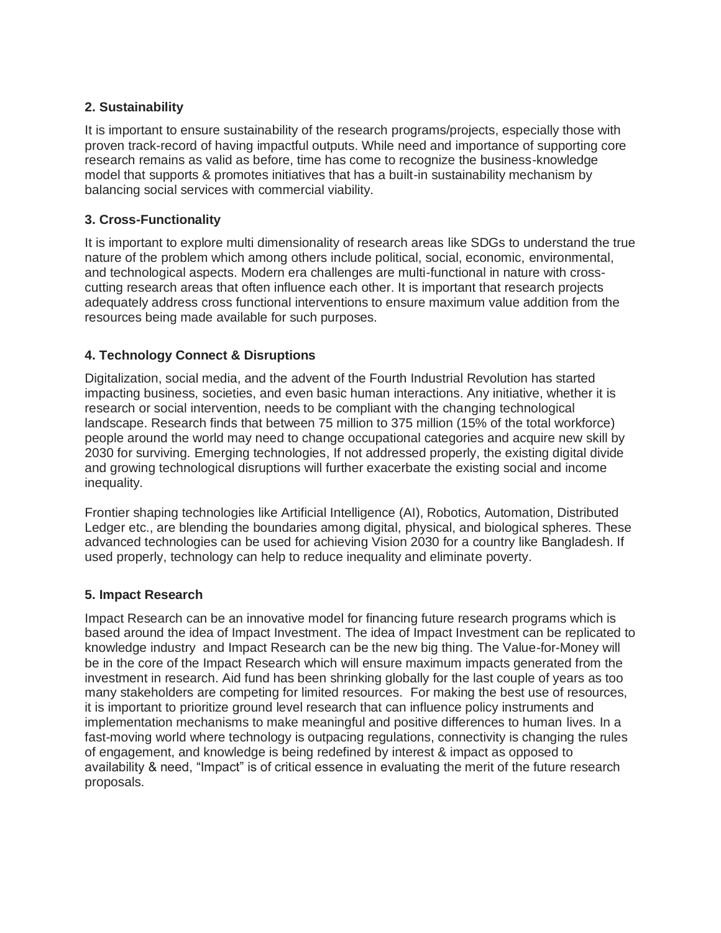# **2. Sustainability**

It is important to ensure sustainability of the research programs/projects, especially those with proven track-record of having impactful outputs. While need and importance of supporting core research remains as valid as before, time has come to recognize the business-knowledge model that supports & promotes initiatives that has a built-in sustainability mechanism by balancing social services with commercial viability.

# **3. Cross-Functionality**

It is important to explore multi dimensionality of research areas like SDGs to understand the true nature of the problem which among others include political, social, economic, environmental, and technological aspects. Modern era challenges are multi-functional in nature with crosscutting research areas that often influence each other. It is important that research projects adequately address cross functional interventions to ensure maximum value addition from the resources being made available for such purposes.

## **4. Technology Connect & Disruptions**

Digitalization, social media, and the advent of the Fourth Industrial Revolution has started impacting business, societies, and even basic human interactions. Any initiative, whether it is research or social intervention, needs to be compliant with the changing technological landscape. Research finds that between 75 million to 375 million (15% of the total workforce) people around the world may need to change occupational categories and acquire new skill by 2030 for surviving. Emerging technologies, If not addressed properly, the existing digital divide and growing technological disruptions will further exacerbate the existing social and income inequality.

Frontier shaping technologies like Artificial Intelligence (AI), Robotics, Automation, Distributed Ledger etc., are blending the boundaries among digital, physical, and biological spheres. These advanced technologies can be used for achieving Vision 2030 for a country like Bangladesh. If used properly, technology can help to reduce inequality and eliminate poverty.

## **5. Impact Research**

Impact Research can be an innovative model for financing future research programs which is based around the idea of Impact Investment. The idea of Impact Investment can be replicated to knowledge industry and Impact Research can be the new big thing. The Value-for-Money will be in the core of the Impact Research which will ensure maximum impacts generated from the investment in research. Aid fund has been shrinking globally for the last couple of years as too many stakeholders are competing for limited resources. For making the best use of resources, it is important to prioritize ground level research that can influence policy instruments and implementation mechanisms to make meaningful and positive differences to human lives. In a fast-moving world where technology is outpacing regulations, connectivity is changing the rules of engagement, and knowledge is being redefined by interest & impact as opposed to availability & need, "Impact" is of critical essence in evaluating the merit of the future research proposals.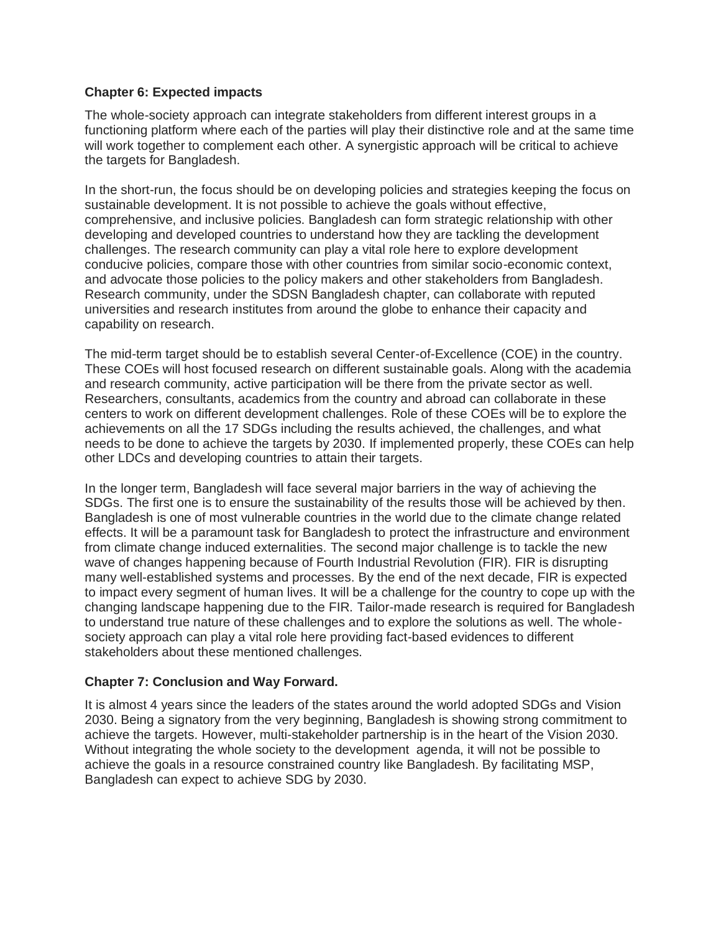#### **Chapter 6: Expected impacts**

The whole-society approach can integrate stakeholders from different interest groups in a functioning platform where each of the parties will play their distinctive role and at the same time will work together to complement each other. A synergistic approach will be critical to achieve the targets for Bangladesh.

In the short-run, the focus should be on developing policies and strategies keeping the focus on sustainable development. It is not possible to achieve the goals without effective, comprehensive, and inclusive policies. Bangladesh can form strategic relationship with other developing and developed countries to understand how they are tackling the development challenges. The research community can play a vital role here to explore development conducive policies, compare those with other countries from similar socio-economic context, and advocate those policies to the policy makers and other stakeholders from Bangladesh. Research community, under the SDSN Bangladesh chapter, can collaborate with reputed universities and research institutes from around the globe to enhance their capacity and capability on research.

The mid-term target should be to establish several Center-of-Excellence (COE) in the country. These COEs will host focused research on different sustainable goals. Along with the academia and research community, active participation will be there from the private sector as well. Researchers, consultants, academics from the country and abroad can collaborate in these centers to work on different development challenges. Role of these COEs will be to explore the achievements on all the 17 SDGs including the results achieved, the challenges, and what needs to be done to achieve the targets by 2030. If implemented properly, these COEs can help other LDCs and developing countries to attain their targets.

In the longer term, Bangladesh will face several major barriers in the way of achieving the SDGs. The first one is to ensure the sustainability of the results those will be achieved by then. Bangladesh is one of most vulnerable countries in the world due to the climate change related effects. It will be a paramount task for Bangladesh to protect the infrastructure and environment from climate change induced externalities. The second major challenge is to tackle the new wave of changes happening because of Fourth Industrial Revolution (FIR). FIR is disrupting many well-established systems and processes. By the end of the next decade, FIR is expected to impact every segment of human lives. It will be a challenge for the country to cope up with the changing landscape happening due to the FIR. Tailor-made research is required for Bangladesh to understand true nature of these challenges and to explore the solutions as well. The wholesociety approach can play a vital role here providing fact-based evidences to different stakeholders about these mentioned challenges.

## **Chapter 7: Conclusion and Way Forward.**

It is almost 4 years since the leaders of the states around the world adopted SDGs and Vision 2030. Being a signatory from the very beginning, Bangladesh is showing strong commitment to achieve the targets. However, multi-stakeholder partnership is in the heart of the Vision 2030. Without integrating the whole society to the development agenda, it will not be possible to achieve the goals in a resource constrained country like Bangladesh. By facilitating MSP, Bangladesh can expect to achieve SDG by 2030.